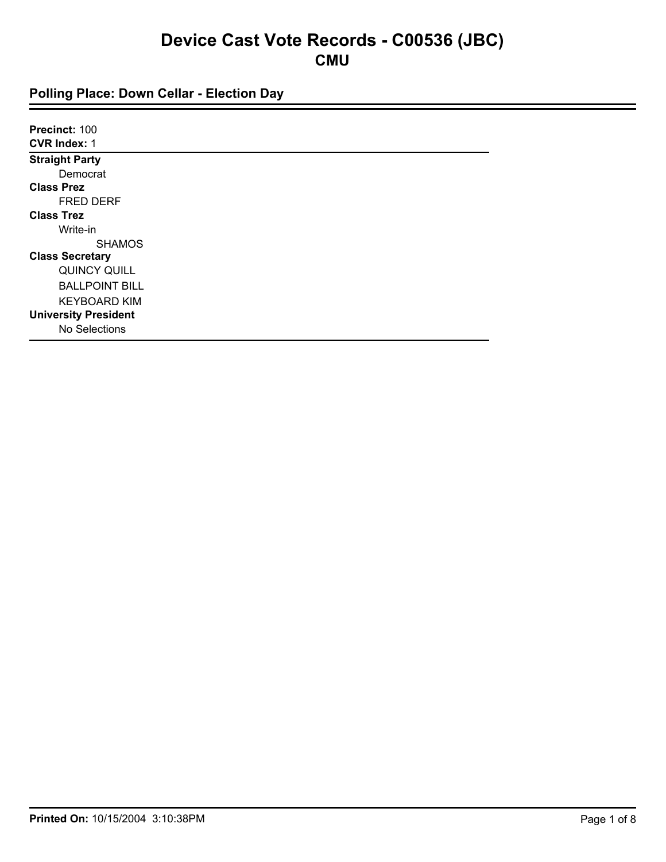| Precinct: 100               |  |  |
|-----------------------------|--|--|
| <b>CVR Index: 1</b>         |  |  |
| <b>Straight Party</b>       |  |  |
| Democrat                    |  |  |
| <b>Class Prez</b>           |  |  |
| <b>FRED DERF</b>            |  |  |
| <b>Class Trez</b>           |  |  |
| Write-in                    |  |  |
| <b>SHAMOS</b>               |  |  |
| <b>Class Secretary</b>      |  |  |
| QUINCY QUILL                |  |  |
| <b>BALLPOINT BILL</b>       |  |  |
| <b>KEYBOARD KIM</b>         |  |  |
| <b>University President</b> |  |  |
| No Selections               |  |  |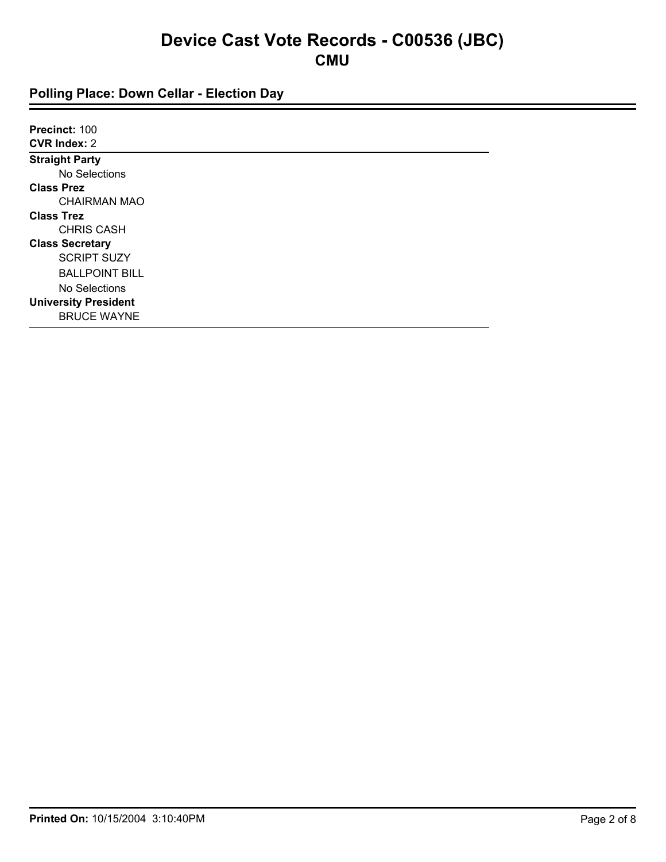| Precinct: 100               |  |
|-----------------------------|--|
| <b>CVR Index: 2</b>         |  |
| <b>Straight Party</b>       |  |
| No Selections               |  |
| <b>Class Prez</b>           |  |
| <b>CHAIRMAN MAO</b>         |  |
| <b>Class Trez</b>           |  |
| <b>CHRIS CASH</b>           |  |
| <b>Class Secretary</b>      |  |
| <b>SCRIPT SUZY</b>          |  |
| <b>BALLPOINT BILL</b>       |  |
| No Selections               |  |
| <b>University President</b> |  |
| <b>BRUCE WAYNE</b>          |  |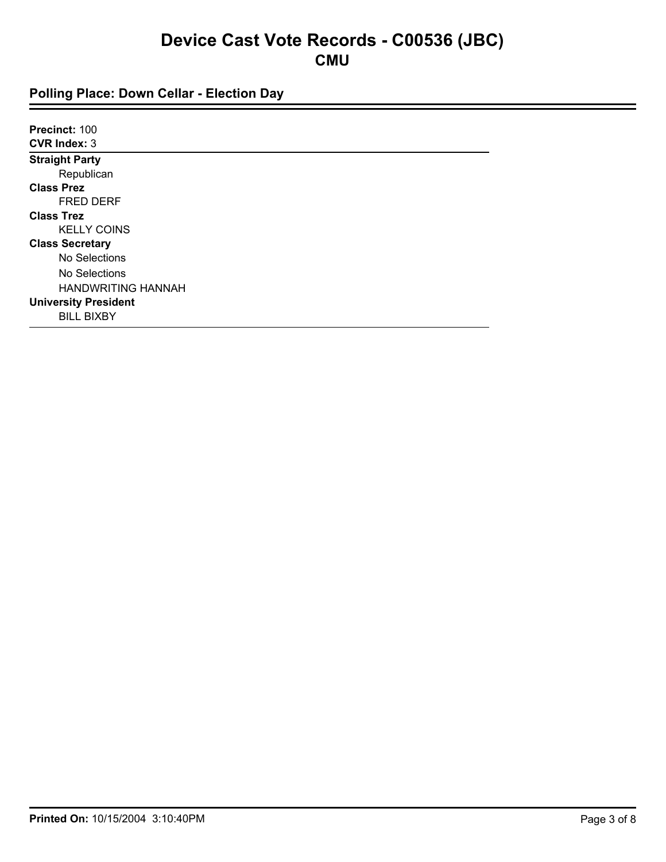| Precinct: 100               |  |
|-----------------------------|--|
| <b>CVR Index: 3</b>         |  |
| <b>Straight Party</b>       |  |
| Republican                  |  |
| <b>Class Prez</b>           |  |
| <b>FRED DERF</b>            |  |
| <b>Class Trez</b>           |  |
| <b>KELLY COINS</b>          |  |
| <b>Class Secretary</b>      |  |
| No Selections               |  |
| No Selections               |  |
| <b>HANDWRITING HANNAH</b>   |  |
| <b>University President</b> |  |
| <b>BILL BIXBY</b>           |  |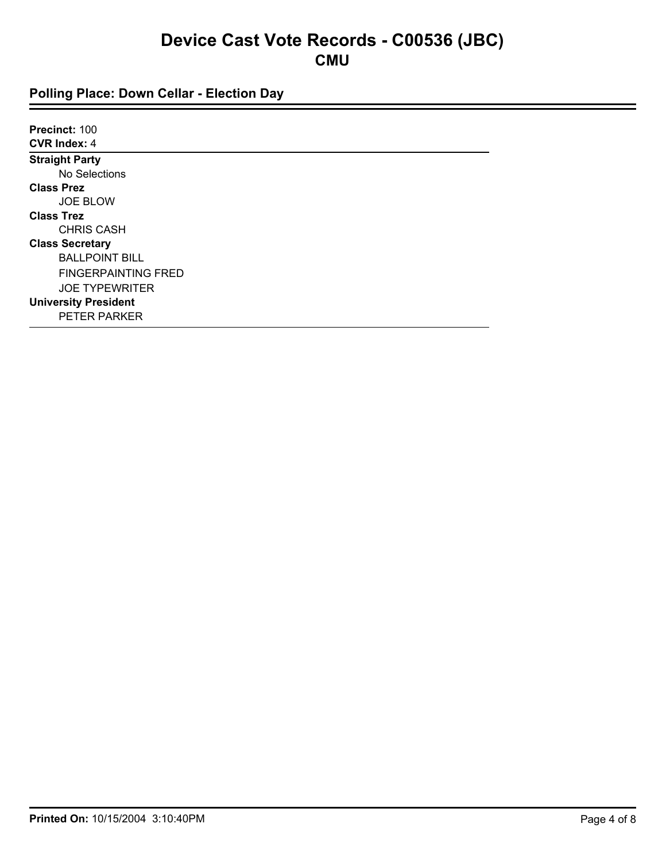| Precinct: 100               |
|-----------------------------|
| <b>CVR Index: 4</b>         |
| <b>Straight Party</b>       |
| No Selections               |
| <b>Class Prez</b>           |
| <b>JOE BLOW</b>             |
| <b>Class Trez</b>           |
| <b>CHRIS CASH</b>           |
| <b>Class Secretary</b>      |
| <b>BALLPOINT BILL</b>       |
| <b>FINGERPAINTING FRED</b>  |
| <b>JOE TYPEWRITER</b>       |
| <b>University President</b> |
| <b>PETER PARKER</b>         |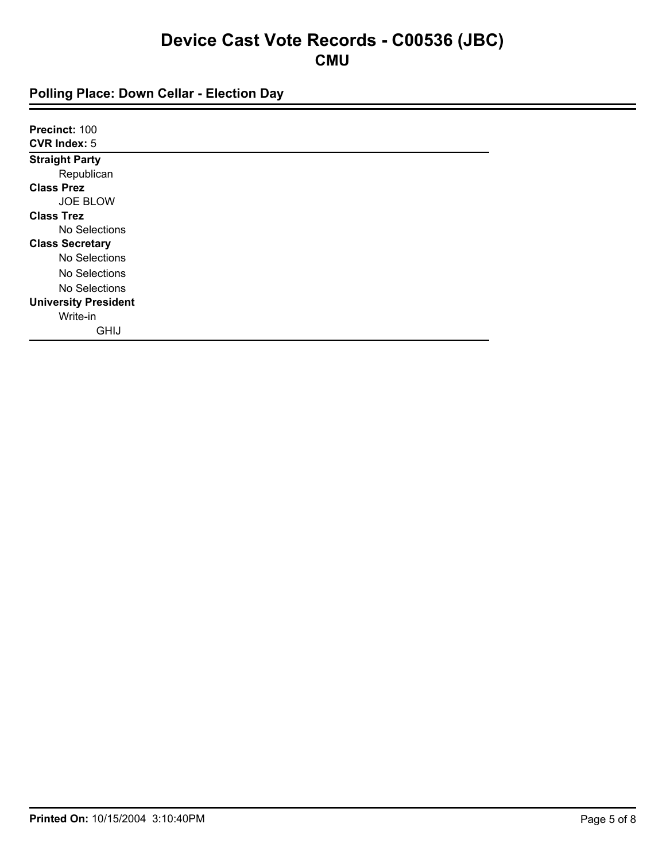| Precinct: 100               |  |
|-----------------------------|--|
| <b>CVR Index: 5</b>         |  |
| <b>Straight Party</b>       |  |
| Republican                  |  |
| <b>Class Prez</b>           |  |
| <b>JOE BLOW</b>             |  |
| <b>Class Trez</b>           |  |
| No Selections               |  |
| <b>Class Secretary</b>      |  |
| No Selections               |  |
| No Selections               |  |
| No Selections               |  |
| <b>University President</b> |  |
| Write-in                    |  |
| <b>GHIJ</b>                 |  |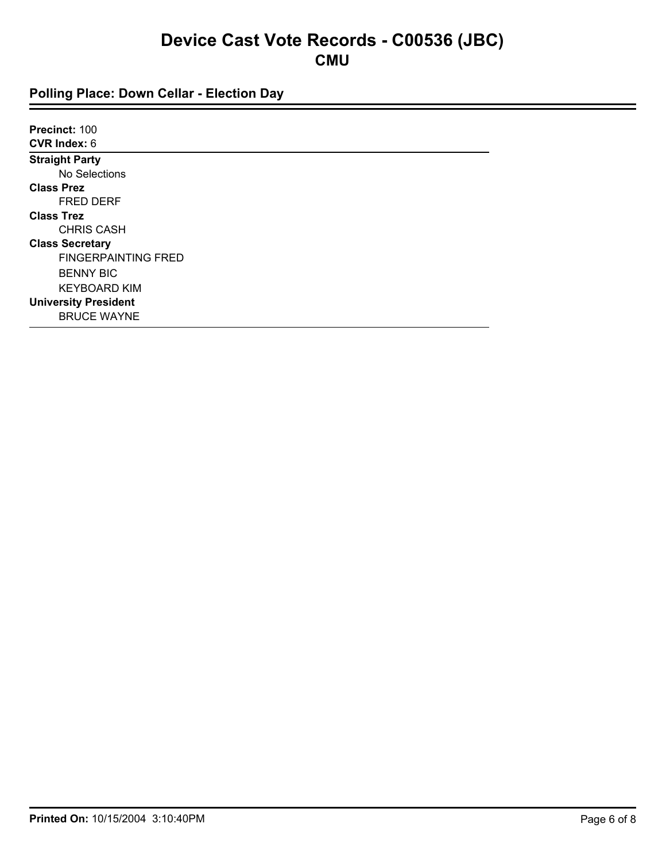| Precinct: 100               |
|-----------------------------|
| <b>CVR Index: 6</b>         |
| <b>Straight Party</b>       |
| No Selections               |
| <b>Class Prez</b>           |
| <b>FRED DERF</b>            |
| <b>Class Trez</b>           |
| <b>CHRIS CASH</b>           |
| <b>Class Secretary</b>      |
| <b>FINGERPAINTING FRED</b>  |
| <b>BENNY BIC</b>            |
| <b>KEYBOARD KIM</b>         |
| <b>University President</b> |
| <b>BRUCE WAYNE</b>          |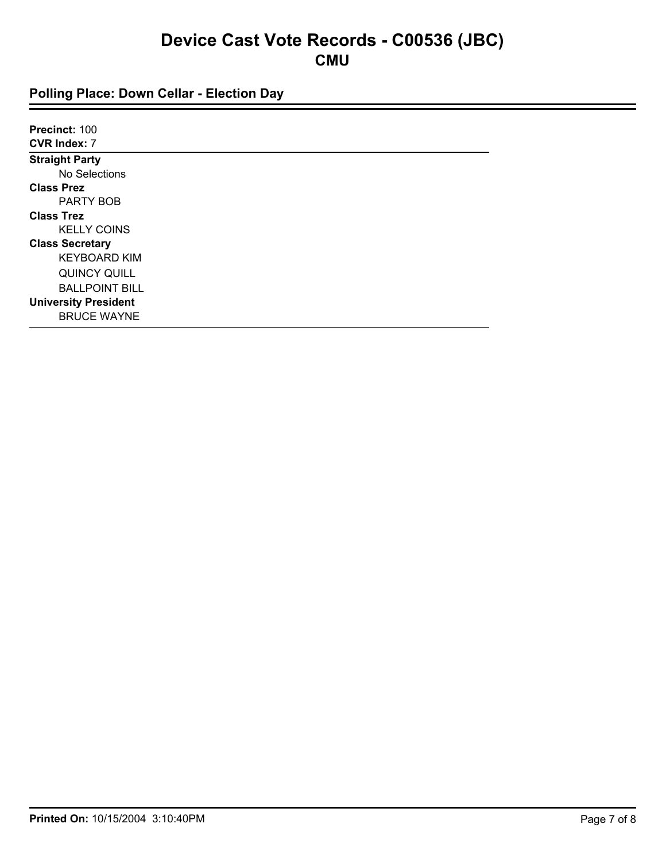| Precinct: 100               |  |  |
|-----------------------------|--|--|
| <b>CVR Index: 7</b>         |  |  |
| <b>Straight Party</b>       |  |  |
| No Selections               |  |  |
| <b>Class Prez</b>           |  |  |
| PARTY BOB                   |  |  |
| <b>Class Trez</b>           |  |  |
| <b>KELLY COINS</b>          |  |  |
| <b>Class Secretary</b>      |  |  |
| <b>KEYBOARD KIM</b>         |  |  |
| QUINCY QUILL                |  |  |
| <b>BALLPOINT BILL</b>       |  |  |
| <b>University President</b> |  |  |
| <b>BRUCE WAYNE</b>          |  |  |